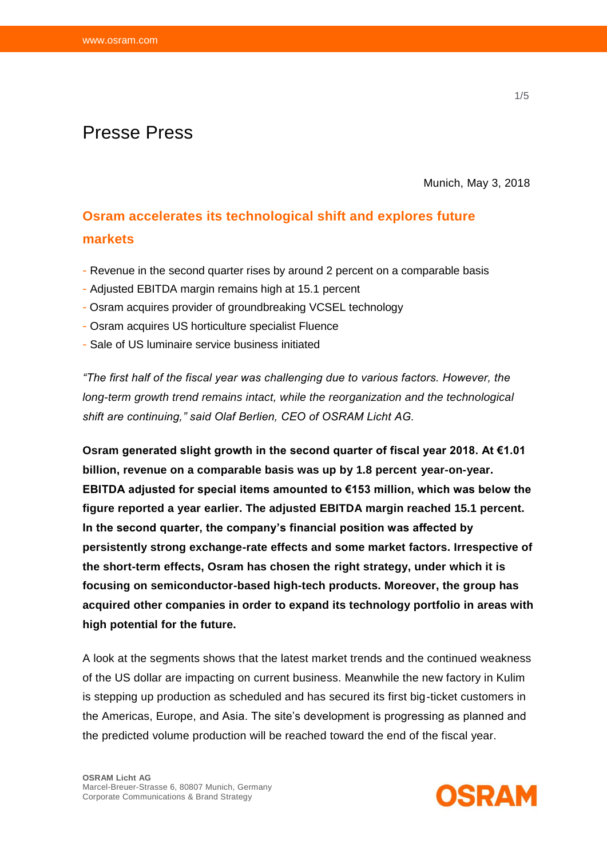# Presse Press

Munich, May 3, 2018

# **Osram accelerates its technological shift and explores future markets**

- Revenue in the second quarter rises by around 2 percent on a comparable basis
- Adjusted EBITDA margin remains high at 15.1 percent
- Osram acquires provider of groundbreaking VCSEL technology
- Osram acquires US horticulture specialist Fluence
- Sale of US luminaire service business initiated

*"The first half of the fiscal year was challenging due to various factors. However, the long-term growth trend remains intact, while the reorganization and the technological shift are continuing," said Olaf Berlien, CEO of OSRAM Licht AG.* 

**Osram generated slight growth in the second quarter of fiscal year 2018. At €1.01 billion, revenue on a comparable basis was up by 1.8 percent year-on-year. EBITDA adjusted for special items amounted to €153 million, which was below the figure reported a year earlier. The adjusted EBITDA margin reached 15.1 percent. In the second quarter, the company's financial position was affected by persistently strong exchange-rate effects and some market factors. Irrespective of the short-term effects, Osram has chosen the right strategy, under which it is focusing on semiconductor-based high-tech products. Moreover, the group has acquired other companies in order to expand its technology portfolio in areas with high potential for the future.** 

A look at the segments shows that the latest market trends and the continued weakness of the US dollar are impacting on current business. Meanwhile the new factory in Kulim is stepping up production as scheduled and has secured its first big-ticket customers in the Americas, Europe, and Asia. The site's development is progressing as planned and the predicted volume production will be reached toward the end of the fiscal year.

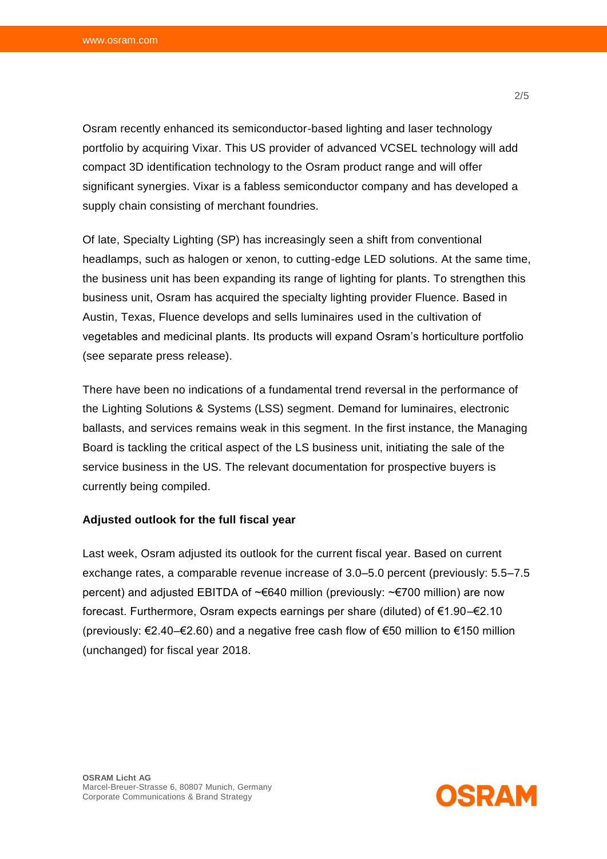Osram recently enhanced its semiconductor-based lighting and laser technology portfolio by acquiring Vixar. This US provider of advanced VCSEL technology will add compact 3D identification technology to the Osram product range and will offer significant synergies. Vixar is a fabless semiconductor company and has developed a supply chain consisting of merchant foundries.

Of late, Specialty Lighting (SP) has increasingly seen a shift from conventional headlamps, such as halogen or xenon, to cutting-edge LED solutions. At the same time, the business unit has been expanding its range of lighting for plants. To strengthen this business unit, Osram has acquired the specialty lighting provider Fluence. Based in Austin, Texas, Fluence develops and sells luminaires used in the cultivation of vegetables and medicinal plants. Its products will expand Osram's horticulture portfolio (see separate press release).

There have been no indications of a fundamental trend reversal in the performance of the Lighting Solutions & Systems (LSS) segment. Demand for luminaires, electronic ballasts, and services remains weak in this segment. In the first instance, the Managing Board is tackling the critical aspect of the LS business unit, initiating the sale of the service business in the US. The relevant documentation for prospective buyers is currently being compiled.

### **Adjusted outlook for the full fiscal year**

Last week, Osram adjusted its outlook for the current fiscal year. Based on current exchange rates, a comparable revenue increase of 3.0–5.0 percent (previously: 5.5–7.5 percent) and adjusted EBITDA of ~€640 million (previously: ~€700 million) are now forecast. Furthermore, Osram expects earnings per share (diluted) of €1.90–€2.10 (previously: €2.40–€2.60) and a negative free cash flow of €50 million to €150 million (unchanged) for fiscal year 2018.

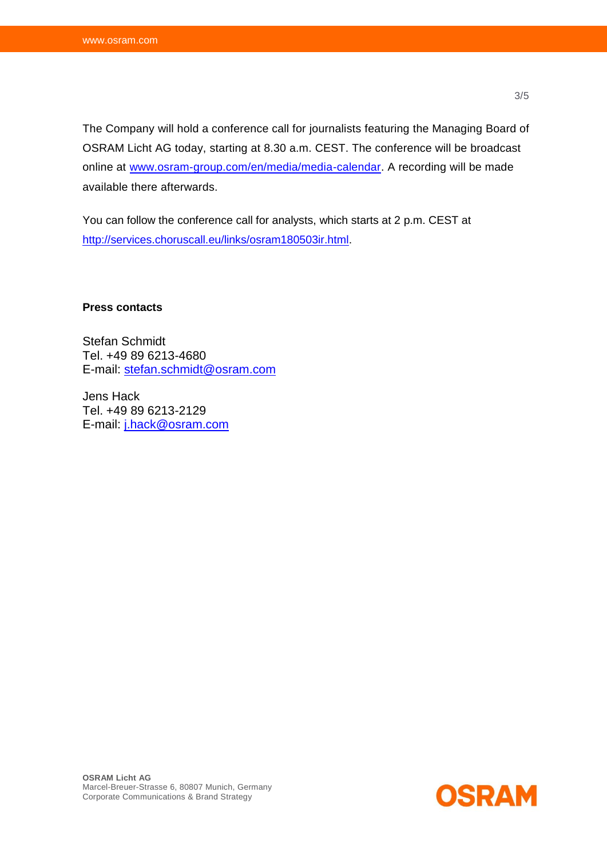The Company will hold a conference call for journalists featuring the Managing Board of OSRAM Licht AG today, starting at 8.30 a.m. CEST. The conference will be broadcast online at [www.osram-group.com/en/media/media-calendar.](http://www.osram-group.de/de-DE/media/media-calendar) A recording will be made available there afterwards.

You can follow the conference call for analysts, which starts at 2 p.m. CEST at [http://services.choruscall.eu/links/osram180503ir.html.](http://services.choruscall.eu/links/osram180503ir.html)

**Press contacts** 

Stefan Schmidt Tel. +49 89 6213-4680 E-mail: [stefan.schmidt@osram.com](mailto:stefan.schmidt@osram.com)

Jens Hack Tel. +49 89 6213-2129 E-mail: [j.hack@osram.com](mailto:j.hack@osram.com)

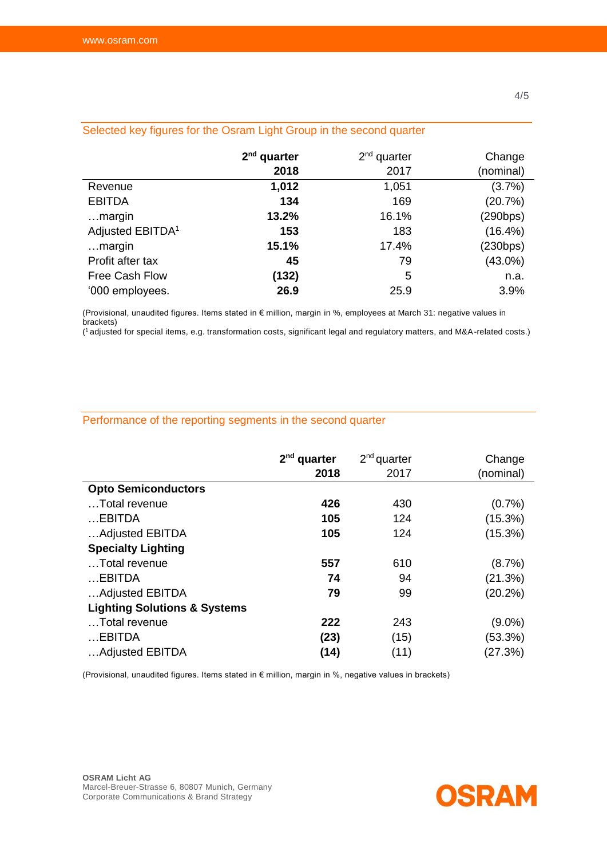| Ocioucu Nov liquido fui trid Osigini Light Orlup in the Security quarter |               |               |            |  |  |
|--------------------------------------------------------------------------|---------------|---------------|------------|--|--|
|                                                                          | $2nd$ quarter | $2nd$ quarter | Change     |  |  |
|                                                                          | 2018          | 2017          | (nominal)  |  |  |
| Revenue                                                                  | 1,012         | 1,051         | (3.7%)     |  |  |
| <b>EBITDA</b>                                                            | 134           | 169           | (20.7%)    |  |  |
| margin                                                                   | 13.2%         | 16.1%         | (290bps)   |  |  |
| Adjusted EBITDA <sup>1</sup>                                             | 153           | 183           | $(16.4\%)$ |  |  |
| margin                                                                   | 15.1%         | 17.4%         | (230bps)   |  |  |
| Profit after tax                                                         | 45            | 79            | $(43.0\%)$ |  |  |
| Free Cash Flow                                                           | (132)         | 5             | n.a.       |  |  |
| '000 employees.                                                          | 26.9          | 25.9          | 3.9%       |  |  |

## Selected key figures for the Osram Light Group in the second quarter

(Provisional, unaudited figures. Items stated in € million, margin in %, employees at March 31: negative values in brackets)

( <sup>1</sup>adjusted for special items, e.g. transformation costs, significant legal and regulatory matters, and M&A-related costs.)

### Performance of the reporting segments in the second quarter

|                                         | $2nd$ quarter | $2nd$ quarter | Change    |
|-----------------------------------------|---------------|---------------|-----------|
|                                         | 2018          | 2017          | (nominal) |
| <b>Opto Semiconductors</b>              |               |               |           |
| Total revenue                           | 426           | 430           | $(0.7\%)$ |
| $$ EBITDA                               | 105           | 124           | (15.3%)   |
| Adjusted EBITDA                         | 105           | 124           | (15.3%)   |
| <b>Specialty Lighting</b>               |               |               |           |
| Total revenue                           | 557           | 610           | (8.7%)    |
| $$ EBITDA                               | 74            | 94            | (21.3%)   |
| Adjusted EBITDA                         | 79            | 99            | (20.2%)   |
| <b>Lighting Solutions &amp; Systems</b> |               |               |           |
| Total revenue                           | 222           | 243           | $(9.0\%)$ |
| $$ EBITDA                               | (23)          | (15)          | (53.3%)   |
| Adjusted EBITDA                         | (14)          | (11)          | (27.3%)   |

(Provisional, unaudited figures. Items stated in € million, margin in %, negative values in brackets)